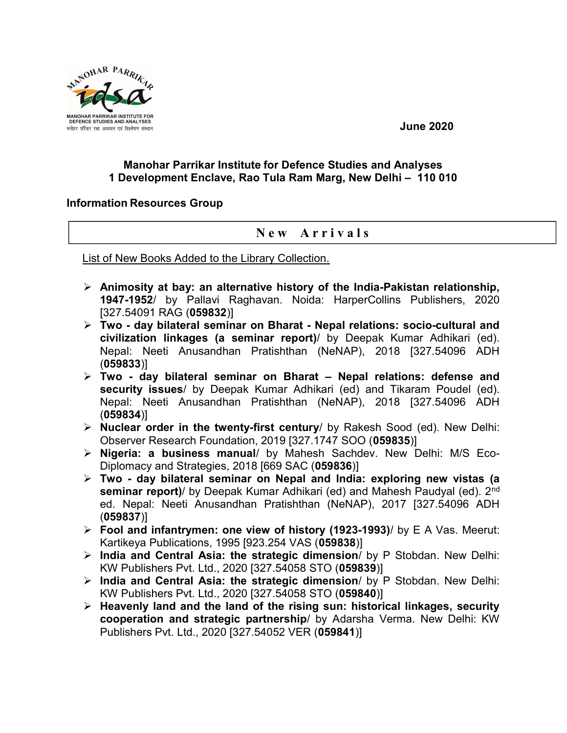

June 2020

## Manohar Parrikar Institute for Defence Studies and Analyses 1 Development Enclave, Rao Tula Ram Marg, New Delhi – 110 010

## Information Resources Group

## New Arrivals

List of New Books Added to the Library Collection.

- $\triangleright$  Animosity at bay: an alternative history of the India-Pakistan relationship, 1947-1952/ by Pallavi Raghavan. Noida: HarperCollins Publishers, 2020 [327.54091 RAG (059832)]
- $\triangleright$  Two day bilateral seminar on Bharat Nepal relations: socio-cultural and civilization linkages (a seminar report)/ by Deepak Kumar Adhikari (ed). Nepal: Neeti Anusandhan Pratishthan (NeNAP), 2018 [327.54096 ADH (059833)]
- $\triangleright$  Two day bilateral seminar on Bharat Nepal relations: defense and security issues/ by Deepak Kumar Adhikari (ed) and Tikaram Poudel (ed). Nepal: Neeti Anusandhan Pratishthan (NeNAP), 2018 [327.54096 ADH (059834)]
- $\triangleright$  Nuclear order in the twenty-first century/ by Rakesh Sood (ed). New Delhi: Observer Research Foundation, 2019 [327.1747 SOO (059835)]
- $\triangleright$  Nigeria: a business manual/ by Mahesh Sachdev. New Delhi: M/S Eco-Diplomacy and Strategies, 2018 [669 SAC (059836)]
- $\triangleright$  Two day bilateral seminar on Nepal and India: exploring new vistas (a seminar report)/ by Deepak Kumar Adhikari (ed) and Mahesh Paudyal (ed). 2<sup>nd</sup> ed. Nepal: Neeti Anusandhan Pratishthan (NeNAP), 2017 [327.54096 ADH (059837)]
- Fool and infantrymen: one view of history (1923-1993)/ by E A Vas. Meerut: Kartikeya Publications, 1995 [923.254 VAS (059838)]
- $\triangleright$  India and Central Asia: the strategic dimension/ by P Stobdan. New Delhi: KW Publishers Pvt. Ltd., 2020 [327.54058 STO (059839)]
- > India and Central Asia: the strategic dimension/ by P Stobdan. New Delhi: KW Publishers Pvt. Ltd., 2020 [327.54058 STO (059840)]
- $\triangleright$  Heavenly land and the land of the rising sun: historical linkages, security cooperation and strategic partnership/ by Adarsha Verma. New Delhi: KW Publishers Pvt. Ltd., 2020 [327.54052 VER (059841)]